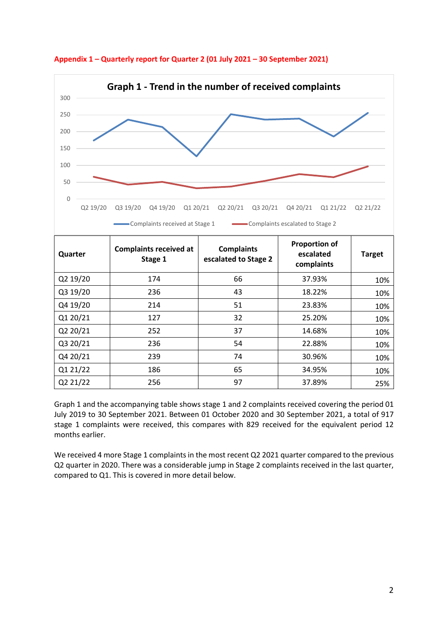

**Appendix 1 – Quarterly report for Quarter 2 (01 July 2021 – 30 September 2021)**

Graph 1 and the accompanying table shows stage 1 and 2 complaints received covering the period 01 July 2019 to 30 September 2021. Between 01 October 2020 and 30 September 2021, a total of 917 stage 1 complaints were received, this compares with 829 received for the equivalent period 12 months earlier.

Q3 20/21 236 54 22.88% 10% Q4 20/21  $\begin{array}{|c|c|c|c|c|c|}\n\hline\n\text{Q4 20/21} & & \text{239} & & \text{74} & & \text{30.96\%} & & \text{10\%} \end{array}$ Q1 21/22  $|$  186  $|$  65  $|$  34.95%  $|$  10% Q2 21/22 256 97 37.89% 25%

We received 4 more Stage 1 complaints in the most recent Q2 2021 quarter compared to the previous Q2 quarter in 2020. There was a considerable jump in Stage 2 complaints received in the last quarter, compared to Q1. This is covered in more detail below.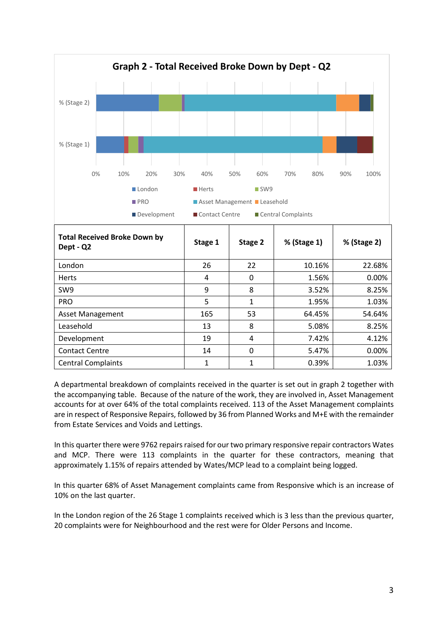

A departmental breakdown of complaints received in the quarter is set out in graph 2 together with the accompanying table. Because of the nature of the work, they are involved in, Asset Management accounts for at over 64% of the total complaints received. 113 of the Asset Management complaints are in respect of Responsive Repairs, followed by 36 from Planned Works and M+E with the remainder from Estate Services and Voids and Lettings.

In this quarter there were 9762 repairs raised for our two primary responsive repair contractors Wates and MCP. There were 113 complaints in the quarter for these contractors, meaning that approximately 1.15% of repairs attended by Wates/MCP lead to a complaint being logged.

In this quarter 68% of Asset Management complaints came from Responsive which is an increase of 10% on the last quarter.

In the London region of the 26 Stage 1 complaints received which is 3 less than the previous quarter, 20 complaints were for Neighbourhood and the rest were for Older Persons and Income.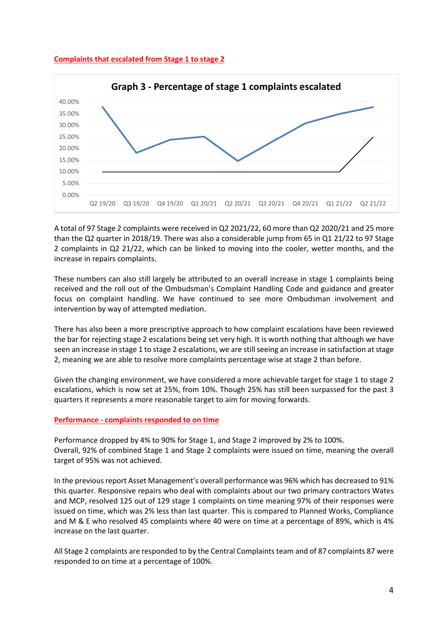#### **Complaints that escalated from Stage 1 to stage 2**



A total of 97 Stage 2 complaints were received in Q2 2021/22, 60 more than Q2 2020/21 and 25 more than the Q2 quarter in 2018/19. There was also a considerable jump from 65 in Q1 21/22 to 97 Stage 2 complaints in Q2 21/22, which can be linked to moving into the cooler, wetter months, and the increase in repairs complaints.

These numbers can also still largely be attributed to an overall increase in stage 1 complaints being received and the roll out of the Ombudsman's Complaint Handling Code and guidance and greater focus on complaint handling. We have continued to see more Ombudsman involvement and intervention by way of attempted mediation.

There has also been a more prescriptive approach to how complaint escalations have been reviewed the bar for rejecting stage 2 escalations being set very high. It is worth nothing that although we have seen an increase in stage 1 to stage 2 escalations, we are still seeing an increase in satisfaction at stage 2, meaning we are able to resolve more complaints percentage wise at stage 2 than before.

Given the changing environment, we have considered a more achievable target for stage 1 to stage 2 escalations, which is now set at 25%, from 10%. Though 25% has still been surpassed for the past 3 quarters it represents a more reasonable target to aim for moving forwards.

### **Performance - complaints responded to on time**

Performance dropped by 4% to 90% for Stage 1, and Stage 2 improved by 2% to 100%. Overall, 92% of combined Stage 1 and Stage 2 complaints were issued on time, meaning the overall target of 95% was not achieved.

In the previous report Asset Management's overall performance was 96% which has decreased to 91% this quarter. Responsive repairs who deal with complaints about our two primary contractors Wates and MCP, resolved 125 out of 129 stage 1 complaints on time meaning 97% of their responses were issued on time, which was 2% less than last quarter. This is compared to Planned Works, Compliance and M & E who resolved 45 complaints where 40 were on time at a percentage of 89%, which is 4% increase on the last quarter.

All Stage 2 complaints are responded to by the Central Complaints team and of 87 complaints 87 were responded to on time at a percentage of 100%.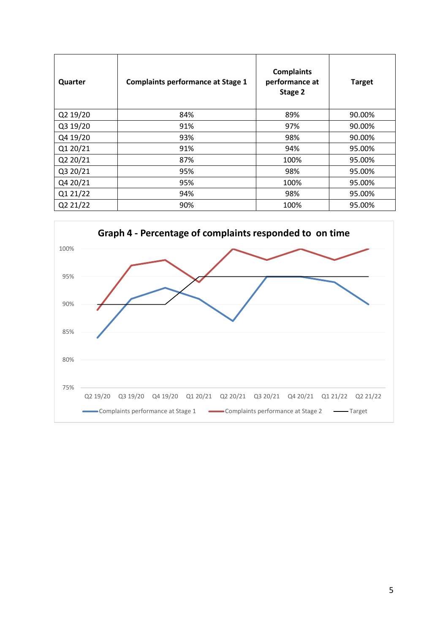| Quarter  | <b>Complaints performance at Stage 1</b> | <b>Complaints</b><br>performance at<br>Stage 2 | <b>Target</b> |
|----------|------------------------------------------|------------------------------------------------|---------------|
| Q2 19/20 | 84%                                      | 89%                                            | 90.00%        |
| Q3 19/20 | 91%                                      | 97%                                            | 90.00%        |
| Q4 19/20 | 93%                                      | 98%                                            | 90.00%        |
| Q1 20/21 | 91%                                      | 94%                                            | 95.00%        |
| Q2 20/21 | 87%                                      | 100%                                           | 95.00%        |
| Q3 20/21 | 95%                                      | 98%                                            | 95.00%        |
| Q4 20/21 | 95%                                      | 100%                                           | 95.00%        |
| Q1 21/22 | 94%                                      | 98%                                            | 95.00%        |
| Q2 21/22 | 90%                                      | 100%                                           | 95.00%        |

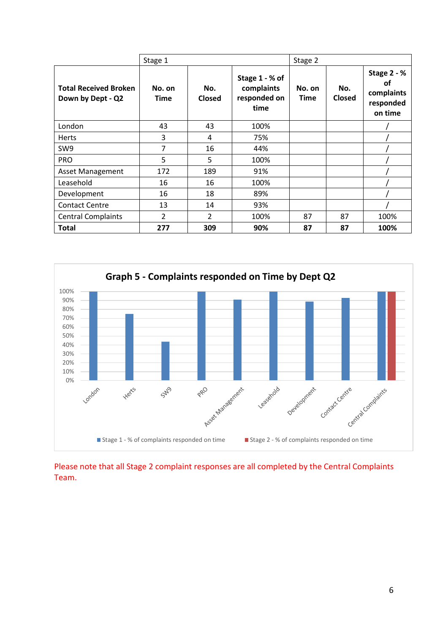|                                                   | Stage 1               |                      |                                                      | Stage 2               |               |                                                         |
|---------------------------------------------------|-----------------------|----------------------|------------------------------------------------------|-----------------------|---------------|---------------------------------------------------------|
| <b>Total Received Broken</b><br>Down by Dept - Q2 | No. on<br><b>Time</b> | No.<br><b>Closed</b> | Stage 1 - % of<br>complaints<br>responded on<br>time | No. on<br><b>Time</b> | No.<br>Closed | Stage 2 - %<br>οf<br>complaints<br>responded<br>on time |
| London                                            | 43                    | 43                   | 100%                                                 |                       |               |                                                         |
| <b>Herts</b>                                      | 3                     | 4                    | 75%                                                  |                       |               |                                                         |
| SW <sub>9</sub>                                   | 7                     | 16                   | 44%                                                  |                       |               |                                                         |
| <b>PRO</b>                                        | 5                     | 5                    | 100%                                                 |                       |               |                                                         |
| Asset Management                                  | 172                   | 189                  | 91%                                                  |                       |               |                                                         |
| Leasehold                                         | 16                    | 16                   | 100%                                                 |                       |               |                                                         |
| Development                                       | 16                    | 18                   | 89%                                                  |                       |               |                                                         |
| <b>Contact Centre</b>                             | 13                    | 14                   | 93%                                                  |                       |               |                                                         |
| <b>Central Complaints</b>                         | $\overline{2}$        | $\overline{2}$       | 100%                                                 | 87                    | 87            | 100%                                                    |
| Total                                             | 277                   | 309                  | 90%                                                  | 87                    | 87            | 100%                                                    |



Please note that all Stage 2 complaint responses are all completed by the Central Complaints Team.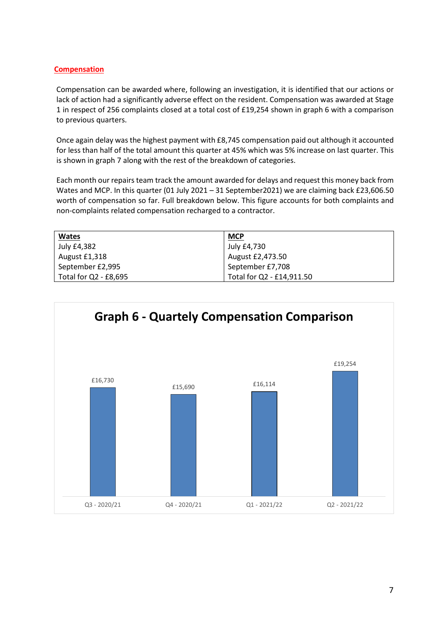### **Compensation**

Compensation can be awarded where, following an investigation, it is identified that our actions or lack of action had a significantly adverse effect on the resident. Compensation was awarded at Stage 1 in respect of 256 complaints closed at a total cost of £19,254 shown in graph 6 with a comparison to previous quarters.

Once again delay was the highest payment with £8,745 compensation paid out although it accounted for less than half of the total amount this quarter at 45% which was 5% increase on last quarter. This is shown in graph 7 along with the rest of the breakdown of categories.

Each month our repairs team track the amount awarded for delays and request this money back from Wates and MCP. In this quarter (01 July 2021 – 31 September2021) we are claiming back £23,606.50 worth of compensation so far. Full breakdown below. This figure accounts for both complaints and non-complaints related compensation recharged to a contractor.

| <b>Wates</b>          | <b>MCP</b>                |
|-----------------------|---------------------------|
| July £4,382           | July £4,730               |
| August £1,318         | August £2,473.50          |
| September £2,995      | September £7,708          |
| Total for Q2 - £8,695 | Total for Q2 - £14,911.50 |

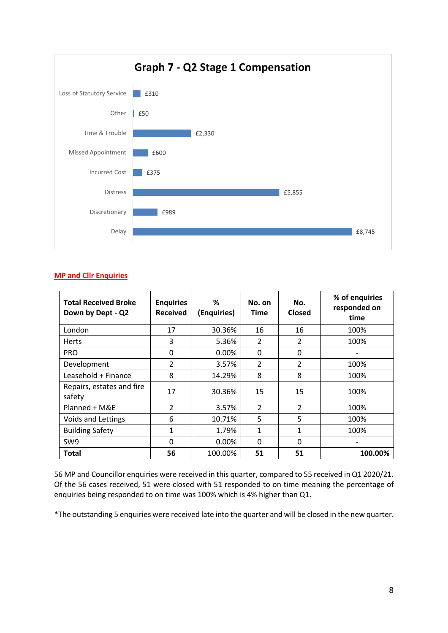

# **MP and Cllr Enquiries**

| <b>Total Received Broke</b><br>Down by Dept - Q2 | <b>Enquiries</b><br><b>Received</b> | %<br>(Enquiries) | No. on<br><b>Time</b> | No.<br><b>Closed</b> | % of enquiries<br>responded on<br>time |
|--------------------------------------------------|-------------------------------------|------------------|-----------------------|----------------------|----------------------------------------|
| London                                           | 17                                  | 30.36%           | 16                    | 16                   | 100%                                   |
| <b>Herts</b>                                     | 3                                   | 5.36%            | 2                     | $\overline{2}$       | 100%                                   |
| <b>PRO</b>                                       | 0                                   | 0.00%            | 0                     | 0                    |                                        |
| Development                                      | $\overline{2}$                      | 3.57%            | $\overline{2}$        | $\overline{2}$       | 100%                                   |
| Leasehold + Finance                              | 8                                   | 14.29%           | 8                     | 8                    | 100%                                   |
| Repairs, estates and fire<br>safety              | 17                                  | 30.36%           | 15                    | 15                   | 100%                                   |
| Planned + M&E                                    | $\overline{2}$                      | 3.57%            | $\overline{2}$        | $\overline{2}$       | 100%                                   |
| Voids and Lettings                               | 6                                   | 10.71%           | 5                     | 5                    | 100%                                   |
| <b>Building Safety</b>                           | 1                                   | 1.79%            | 1                     | 1                    | 100%                                   |
| SW <sub>9</sub>                                  | $\Omega$                            | 0.00%            | $\Omega$              | $\Omega$             |                                        |
| Total                                            | 56                                  | 100.00%          | 51                    | 51                   | 100.00%                                |

56 MP and Councillor enquiries were received in this quarter, compared to 55 received in Q1 2020/21. Of the 56 cases received, 51 were closed with 51 responded to on time meaning the percentage of enquiries being responded to on time was 100% which is 4% higher than Q1.

\*The outstanding 5 enquiries were received late into the quarter and will be closed in the new quarter.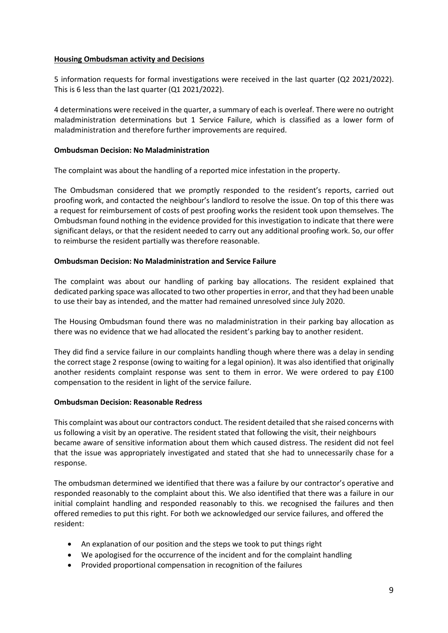### **Housing Ombudsman activity and Decisions**

5 information requests for formal investigations were received in the last quarter (Q2 2021/2022). This is 6 less than the last quarter (Q1 2021/2022).

4 determinations were received in the quarter, a summary of each is overleaf. There were no outright maladministration determinations but 1 Service Failure, which is classified as a lower form of maladministration and therefore further improvements are required.

### **Ombudsman Decision: No Maladministration**

The complaint was about the handling of a reported mice infestation in the property.

The Ombudsman considered that we promptly responded to the resident's reports, carried out proofing work, and contacted the neighbour's landlord to resolve the issue. On top of this there was a request for reimbursement of costs of pest proofing works the resident took upon themselves. The Ombudsman found nothing in the evidence provided for this investigation to indicate that there were significant delays, or that the resident needed to carry out any additional proofing work. So, our offer to reimburse the resident partially was therefore reasonable.

# **Ombudsman Decision: No Maladministration and Service Failure**

The complaint was about our handling of parking bay allocations. The resident explained that dedicated parking space was allocated to two other properties in error, and that they had been unable to use their bay as intended, and the matter had remained unresolved since July 2020.

The Housing Ombudsman found there was no maladministration in their parking bay allocation as there was no evidence that we had allocated the resident's parking bay to another resident.

They did find a service failure in our complaints handling though where there was a delay in sending the correct stage 2 response (owing to waiting for a legal opinion). It was also identified that originally another residents complaint response was sent to them in error. We were ordered to pay £100 compensation to the resident in light of the service failure.

### **Ombudsman Decision: Reasonable Redress**

This complaint was about our contractors conduct. The resident detailed that she raised concerns with us following a visit by an operative. The resident stated that following the visit, their neighbours became aware of sensitive information about them which caused distress. The resident did not feel that the issue was appropriately investigated and stated that she had to unnecessarily chase for a response.

The ombudsman determined we identified that there was a failure by our contractor's operative and responded reasonably to the complaint about this. We also identified that there was a failure in our initial complaint handling and responded reasonably to this. we recognised the failures and then offered remedies to put this right. For both we acknowledged our service failures, and offered the resident:

- An explanation of our position and the steps we took to put things right
- We apologised for the occurrence of the incident and for the complaint handling
- Provided proportional compensation in recognition of the failures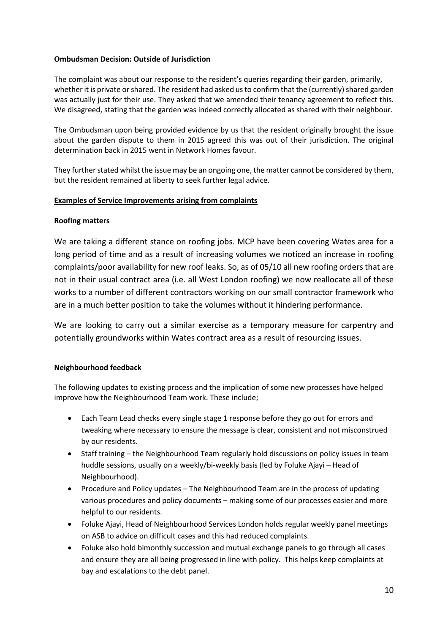# **Ombudsman Decision: Outside of Jurisdiction**

The complaint was about our response to the resident's queries regarding their garden, primarily, whether it is private or shared. The resident had asked us to confirm that the (currently) shared garden was actually just for their use. They asked that we amended their tenancy agreement to reflect this. We disagreed, stating that the garden was indeed correctly allocated as shared with their neighbour.

The Ombudsman upon being provided evidence by us that the resident originally brought the issue about the garden dispute to them in 2015 agreed this was out of their jurisdiction. The original determination back in 2015 went in Network Homes favour.

They further stated whilst the issue may be an ongoing one, the matter cannot be considered by them, but the resident remained at liberty to seek further legal advice.

# **Examples of Service Improvements arising from complaints**

# **Roofing matters**

We are taking a different stance on roofing jobs. MCP have been covering Wates area for a long period of time and as a result of increasing volumes we noticed an increase in roofing complaints/poor availability for new roof leaks. So, as of 05/10 all new roofing orders that are not in their usual contract area (i.e. all West London roofing) we now reallocate all of these works to a number of different contractors working on our small contractor framework who are in a much better position to take the volumes without it hindering performance.

We are looking to carry out a similar exercise as a temporary measure for carpentry and potentially groundworks within Wates contract area as a result of resourcing issues.

# **Neighbourhood feedback**

The following updates to existing process and the implication of some new processes have helped improve how the Neighbourhood Team work. These include;

- Each Team Lead checks every single stage 1 response before they go out for errors and tweaking where necessary to ensure the message is clear, consistent and not misconstrued by our residents.
- Staff training the Neighbourhood Team regularly hold discussions on policy issues in team huddle sessions, usually on a weekly/bi-weekly basis (led by Foluke Ajayi – Head of Neighbourhood).
- Procedure and Policy updates The Neighbourhood Team are in the process of updating various procedures and policy documents – making some of our processes easier and more helpful to our residents.
- Foluke Ajayi, Head of Neighbourhood Services London holds regular weekly panel meetings on ASB to advice on difficult cases and this had reduced complaints.
- Foluke also hold bimonthly succession and mutual exchange panels to go through all cases and ensure they are all being progressed in line with policy. This helps keep complaints at bay and escalations to the debt panel.